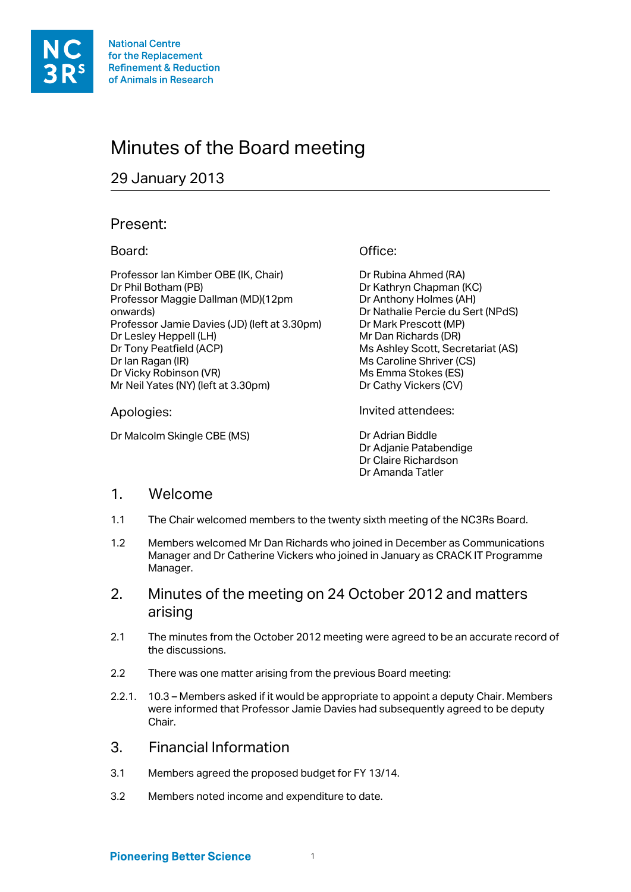# Minutes of the Board meeting

## 29 January 2013

## Present:

#### Board:

Professor Ian Kimber OBE (IK, Chair) Dr Phil Botham (PB) Professor Maggie Dallman (MD)(12pm onwards) Professor Jamie Davies (JD) (left at 3.30pm) Dr Lesley Heppell (LH) Dr Tony Peatfield (ACP) Dr Ian Ragan (IR) Dr Vicky Robinson (VR) Mr Neil Yates (NY) (left at 3.30pm)

#### Apologies:

Dr Malcolm Skingle CBE (MS)

Office:

Dr Rubina Ahmed (RA) Dr Kathryn Chapman (KC) Dr Anthony Holmes (AH) Dr Nathalie Percie du Sert (NPdS) Dr Mark Prescott (MP) Mr Dan Richards (DR) Ms Ashley Scott, Secretariat (AS) Ms Caroline Shriver (CS) Ms Emma Stokes (ES) Dr Cathy Vickers (CV)

Invited attendees:

Dr Adrian Biddle Dr Adjanie Patabendige Dr Claire Richardson Dr Amanda Tatler

## 1. Welcome

- 1.1 The Chair welcomed members to the twenty sixth meeting of the NC3Rs Board.
- 1.2 Members welcomed Mr Dan Richards who joined in December as Communications Manager and Dr Catherine Vickers who joined in January as CRACK IT Programme Manager.
- 2. Minutes of the meeting on 24 October 2012 and matters arising
- 2.1 The minutes from the October 2012 meeting were agreed to be an accurate record of the discussions.
- 2.2 There was one matter arising from the previous Board meeting:
- 2.2.1. 10.3 Members asked if it would be appropriate to appoint a deputy Chair. Members were informed that Professor Jamie Davies had subsequently agreed to be deputy Chair.
- 3. Financial Information
- 3.1 Members agreed the proposed budget for FY 13/14.
- 3.2 Members noted income and expenditure to date.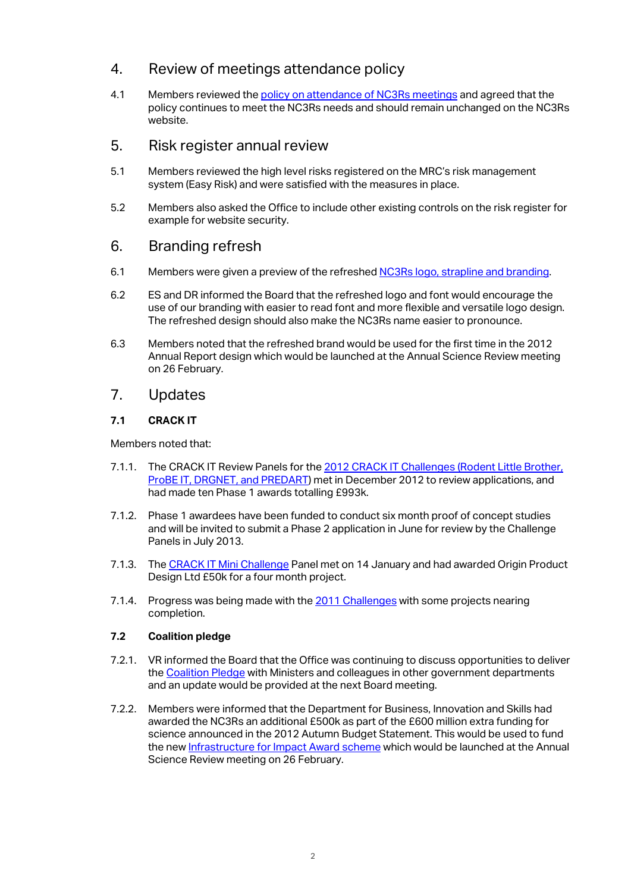## 4. Review of meetings attendance policy

4.1 Members reviewed the policy on attendance of NC3Rs meetings and agreed that the policy continues to meet the NC3Rs needs and should remain unchanged on the NC3Rs website.

#### 5. Risk register annual review

- 5.1 Members reviewed the high level risks registered on the MRC's risk management system (Easy Risk) and were satisfied with the measures in place.
- 5.2 Members also asked the Office to include other existing controls on the risk register for example for website security.

## 6. Branding refresh

- 6.1 Members were given a preview of the refreshed NC3Rs logo, strapline and branding.
- 6.2 ES and DR informed the Board that the refreshed logo and font would encourage the use of our branding with easier to read font and more flexible and versatile logo design. The refreshed design should also make the NC3Rs name easier to pronounce.
- 6.3 Members noted that the refreshed brand would be used for the first time in the 2012 Annual Report design which would be launched at the Annual Science Review meeting on 26 February.

## 7. Updates

#### **7.1 CRACK IT**

Members noted that:

- 7.1.1. The CRACK IT Review Panels for the 2012 CRACK IT Challenges (Rodent Little Brother, ProBE IT, DRGNET, and PREDART) met in December 2012 to review applications, and had made ten Phase 1 awards totalling £993k.
- 7.1.2. Phase 1 awardees have been funded to conduct six month proof of concept studies and will be invited to submit a Phase 2 application in June for review by the Challenge Panels in July 2013.
- 7.1.3. The CRACK IT Mini Challenge Panel met on 14 January and had awarded Origin Product Design Ltd £50k for a four month project.
- 7.1.4. Progress was being made with the 2011 Challenges with some projects nearing completion.

#### **7.2 Coalition pledge**

- 7.2.1. VR informed the Board that the Office was continuing to discuss opportunities to deliver the Coalition Pledge with Ministers and colleagues in other government departments and an update would be provided at the next Board meeting.
- 7.2.2. Members were informed that the Department for Business, Innovation and Skills had awarded the NC3Rs an additional £500k as part of the £600 million extra funding for science announced in the 2012 Autumn Budget Statement. This would be used to fund the new Infrastructure for Impact Award scheme which would be launched at the Annual Science Review meeting on 26 February.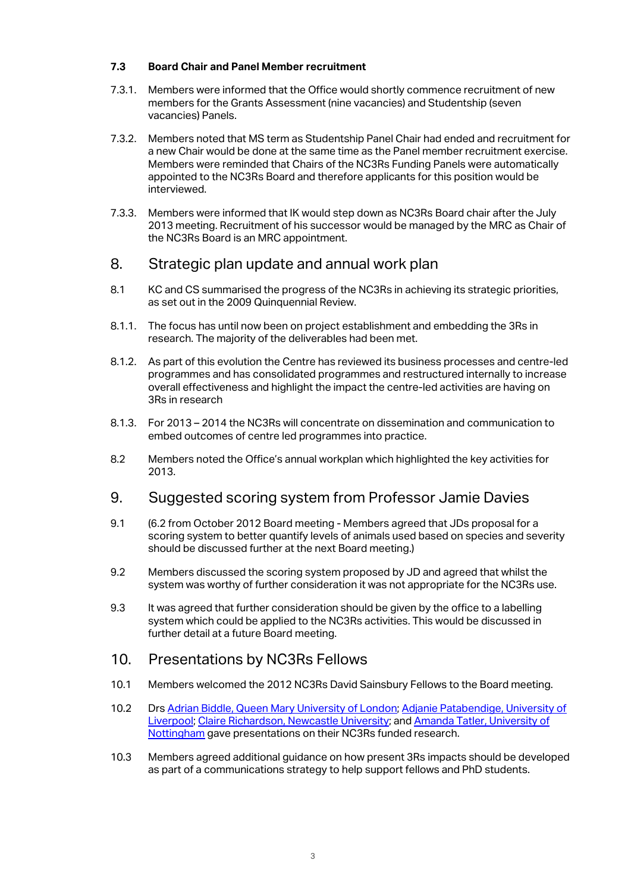#### **7.3 Board Chair and Panel Member recruitment**

- 7.3.1. Members were informed that the Office would shortly commence recruitment of new members for the Grants Assessment (nine vacancies) and Studentship (seven vacancies) Panels.
- 7.3.2. Members noted that MS term as Studentship Panel Chair had ended and recruitment for a new Chair would be done at the same time as the Panel member recruitment exercise. Members were reminded that Chairs of the NC3Rs Funding Panels were automatically appointed to the NC3Rs Board and therefore applicants for this position would be interviewed.
- 7.3.3. Members were informed that IK would step down as NC3Rs Board chair after the July 2013 meeting. Recruitment of his successor would be managed by the MRC as Chair of the NC3Rs Board is an MRC appointment.

## 8. Strategic plan update and annual work plan

- 8.1 KC and CS summarised the progress of the NC3Rs in achieving its strategic priorities, as set out in the 2009 Quinquennial Review.
- 8.1.1. The focus has until now been on project establishment and embedding the 3Rs in research. The majority of the deliverables had been met.
- 8.1.2. As part of this evolution the Centre has reviewed its business processes and centre-led programmes and has consolidated programmes and restructured internally to increase overall effectiveness and highlight the impact the centre-led activities are having on 3Rs in research
- 8.1.3. For 2013 2014 the NC3Rs will concentrate on dissemination and communication to embed outcomes of centre led programmes into practice.
- 8.2 Members noted the Office's annual workplan which highlighted the key activities for 2013.

#### 9. Suggested scoring system from Professor Jamie Davies

- 9.1 (6.2 from October 2012 Board meeting Members agreed that JDs proposal for a scoring system to better quantify levels of animals used based on species and severity should be discussed further at the next Board meeting.)
- 9.2 Members discussed the scoring system proposed by JD and agreed that whilst the system was worthy of further consideration it was not appropriate for the NC3Rs use.
- 9.3 It was agreed that further consideration should be given by the office to a labelling system which could be applied to the NC3Rs activities. This would be discussed in further detail at a future Board meeting.

#### 10. Presentations by NC3Rs Fellows

- 10.1 Members welcomed the 2012 NC3Rs David Sainsbury Fellows to the Board meeting.
- 10.2 Drs Adrian Biddle, Queen Mary University of London; Adjanie Patabendige, University of Liverpool; Claire Richardson, Newcastle University; and Amanda Tatler, University of Nottingham gave presentations on their NC3Rs funded research.
- 10.3 Members agreed additional guidance on how present 3Rs impacts should be developed as part of a communications strategy to help support fellows and PhD students.